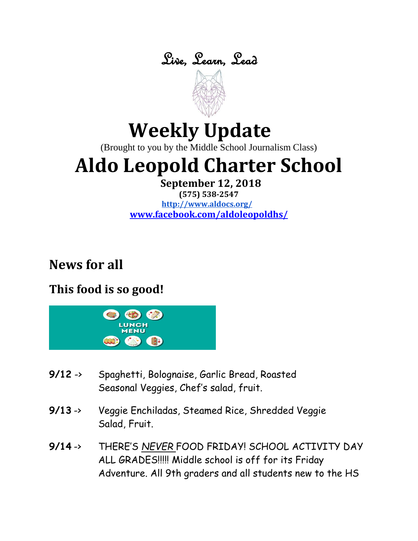



# **Weekly Update**

(Brought to you by the Middle School Journalism Class)

# **Aldo Leopold Charter School**

**September 12, 2018**

**(575) 538-2547 <http://www.aldocs.org/> [www.facebook.com/aldoleopoldhs/](http://www.facebook.com/aldoleopoldhs/)**

# **News for all**

## **This food is so good!**



- **9/12** -> Spaghetti, Bolognaise, Garlic Bread, Roasted Seasonal Veggies, Chef's salad, fruit.
- **9/13** -> Veggie Enchiladas, Steamed Rice, Shredded Veggie Salad, Fruit.
- **9/14** -> THERE'S *NEVER* FOOD FRIDAY! SCHOOL ACTIVITY DAY ALL GRADES!!!!! Middle school is off for its Friday Adventure. All 9th graders and all students new to the HS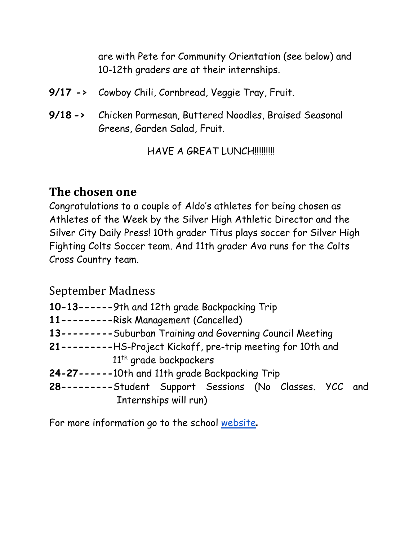are with Pete for Community Orientation (see below) and 10-12th graders are at their internships.

- **9/17 ->** Cowboy Chili, Cornbread, Veggie Tray, Fruit.
- **9/18 ->** Chicken Parmesan, Buttered Noodles, Braised Seasonal Greens, Garden Salad, Fruit.

HAVE A GREAT LUNCH!!!!!!!!!

### **The chosen one**

Congratulations to a couple of Aldo's athletes for being chosen as Athletes of the Week by the Silver High Athletic Director and the Silver City Daily Press! 10th grader Titus plays soccer for Silver High Fighting Colts Soccer team. And 11th grader Ava runs for the Colts Cross Country team.

September Madness

- **10-13------**9th and 12th grade Backpacking Trip
- **11---------**Risk Management (Cancelled)
- **13---------**Suburban Training and Governing Council Meeting
- **21---------**HS-Project Kickoff, pre-trip meeting for 10th and 11<sup>th</sup> grade backpackers
- **24-27------**10th and 11th grade Backpacking Trip
- **28---------**Student Support Sessions (No Classes. YCC and Internships will run)

For more information go to the school [website](https://www.aldocs.org/)**.**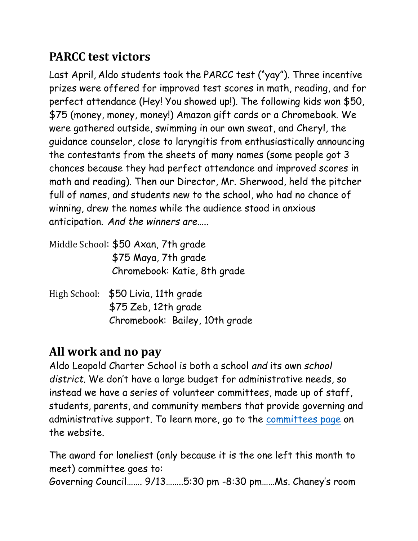## **PARCC test victors**

Last April, Aldo students took the PARCC test ("yay"). Three incentive prizes were offered for improved test scores in math, reading, and for perfect attendance (Hey! You showed up!). The following kids won \$50, \$75 (money, money, money!) Amazon gift cards or a Chromebook. We were gathered outside, swimming in our own sweat, and Cheryl, the guidance counselor, close to laryngitis from enthusiastically announcing the contestants from the sheets of many names (some people got 3 chances because they had perfect attendance and improved scores in math and reading). Then our Director, Mr. Sherwood, held the pitcher full of names, and students new to the school, who had no chance of winning, drew the names while the audience stood in anxious anticipation. *And the winners are…..* 

- Middle School: \$50 Axan, 7th grade \$75 Maya, 7th grade Chromebook: Katie, 8th grade
- High School: \$50 Livia, 11th grade \$75 Zeb, 12th grade Chromebook: Bailey, 10th grade

# **All work and no pay**

Aldo Leopold Charter School is both a school *and* its own *school district*. We don't have a large budget for administrative needs, so instead we have a series of volunteer committees, made up of staff, students, parents, and community members that provide governing and administrative support. To learn more, go to the [committees page](https://www.aldocs.org/committees.html) on the website.

The award for loneliest (only because it is the one left this month to meet) committee goes to: Governing Council……. 9/13……..5:30 pm -8:30 pm……Ms. Chaney's room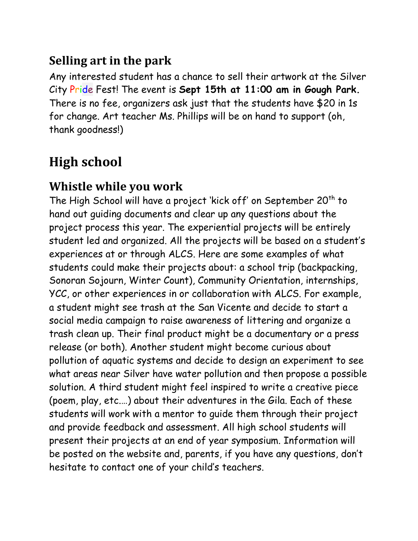## **Selling art in the park**

Any interested student has a chance to sell their artwork at the Silver City Pride Fest! The event is **Sept 15th at 11:00 am in Gough Park.**  There is no fee, organizers ask just that the students have \$20 in 1s for change. Art teacher Ms. Phillips will be on hand to support (oh, thank goodness!)

# **High school**

### **Whistle while you work**

The High School will have a project 'kick off' on September  $20<sup>th</sup>$  to hand out guiding documents and clear up any questions about the project process this year. The experiential projects will be entirely student led and organized. All the projects will be based on a student's experiences at or through ALCS. Here are some examples of what students could make their projects about: a school trip (backpacking, Sonoran Sojourn, Winter Count), Community Orientation, internships, YCC, or other experiences in or collaboration with ALCS. For example, a student might see trash at the San Vicente and decide to start a social media campaign to raise awareness of littering and organize a trash clean up. Their final product might be a documentary or a press release (or both). Another student might become curious about pollution of aquatic systems and decide to design an experiment to see what areas near Silver have water pollution and then propose a possible solution. A third student might feel inspired to write a creative piece (poem, play, etc.…) about their adventures in the Gila. Each of these students will work with a mentor to guide them through their project and provide feedback and assessment. All high school students will present their projects at an end of year symposium. Information will be posted on the website and, parents, if you have any questions, don't hesitate to contact one of your child's teachers.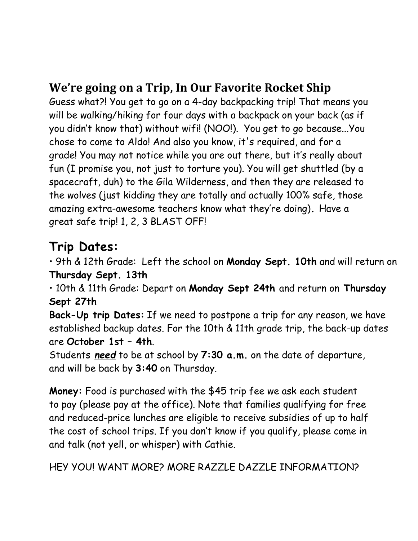## **We're going on a Trip, In Our Favorite Rocket Ship**

Guess what?! You get to go on a 4-day backpacking trip! That means you will be walking/hiking for four days with a backpack on your back (as if you didn't know that) without wifi! (NOO!). You get to go because...You chose to come to Aldo! And also you know, it's required, and for a grade! You may not notice while you are out there, but it's really about fun (I promise you, not just to torture you). You will get shuttled (by a spacecraft, duh) to the Gila Wilderness, and then they are released to the wolves (just kidding they are totally and actually 100% safe, those amazing extra-awesome teachers know what they're doing)**.** Have a great safe trip! 1, 2, 3 BLAST OFF!

# **Trip Dates:**

• 9th & 12th Grade: Left the school on **Monday Sept. 10th** and will return on **Thursday Sept. 13th** 

• 10th & 11th Grade: Depart on **Monday Sept 24th** and return on **Thursday Sept 27th**

**Back-Up trip Dates:** If we need to postpone a trip for any reason, we have established backup dates. For the 10th & 11th grade trip, the back-up dates are **October 1st – 4th**.

Students *need* to be at school by **7:30 a.m.** on the date of departure, and will be back by **3:40** on Thursday.

**Money:** Food is purchased with the \$45 trip fee we ask each student to pay (please pay at the office). Note that families qualifying for free and reduced-price lunches are eligible to receive subsidies of up to half the cost of school trips. If you don't know if you qualify, please come in and talk (not yell, or whisper) with Cathie.

HEY YOU! WANT MORE? MORE RAZZLE DAZZLE INFORMATION?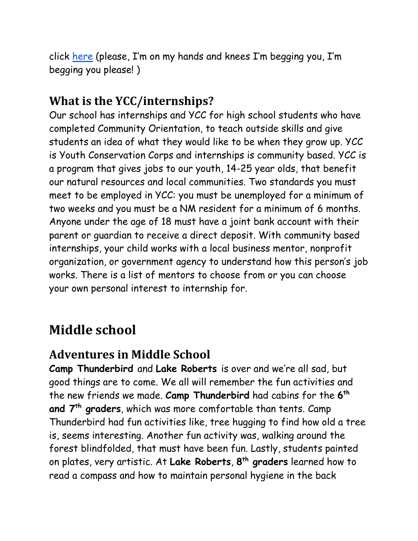click [here](https://www.aldocs.org/uploads/1/1/5/7/115705285/backpack_-parent_letter_home.pdf) (please, I'm on my hands and knees I'm begging you, I'm begging you please! )

## **What is the YCC/internships?**

Our school has internships and YCC for high school students who have completed Community Orientation, to teach outside skills and give students an idea of what they would like to be when they grow up. YCC is Youth Conservation Corps and internships is community based. YCC is a program that gives jobs to our youth, 14-25 year olds, that benefit our natural resources and local communities. Two standards you must meet to be employed in YCC: you must be unemployed for a minimum of two weeks and you must be a NM resident for a minimum of 6 months. Anyone under the age of 18 must have a joint bank account with their parent or guardian to receive a direct deposit. With community based internships, your child works with a local business mentor, nonprofit organization, or government agency to understand how this person's job works. There is a list of mentors to choose from or you can choose your own personal interest to internship for.

# **Middle school**

## **Adventures in Middle School**

**Camp Thunderbird** and **Lake Roberts** is over and we're all sad, but good things are to come. We all will remember the fun activities and the new friends we made. **Camp Thunderbird** had cabins for the **6 th and 7th graders**, which was more comfortable than tents. Camp Thunderbird had fun activities like, tree hugging to find how old a tree is, seems interesting. Another fun activity was, walking around the forest blindfolded, that must have been fun. Lastly, students painted on plates, very artistic. At **Lake Roberts**, **8 th graders** learned how to read a compass and how to maintain personal hygiene in the back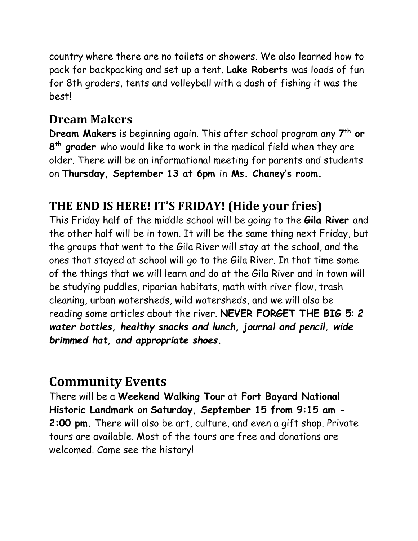country where there are no toilets or showers. We also learned how to pack for backpacking and set up a tent. **Lake Roberts** was loads of fun for 8th graders, tents and volleyball with a dash of fishing it was the best!

### **Dream Makers**

**Dream Makers** is beginning again. This after school program any **7 th or 8 th grader** who would like to work in the medical field when they are older. There will be an informational meeting for parents and students on **Thursday, September 13 at 6pm** in **Ms. Chaney's room.** 

### **THE END IS HERE! IT'S FRIDAY! (Hide your fries)**

This Friday half of the middle school will be going to the **Gila River** and the other half will be in town. It will be the same thing next Friday, but the groups that went to the Gila River will stay at the school, and the ones that stayed at school will go to the Gila River. In that time some of the things that we will learn and do at the Gila River and in town will be studying puddles, riparian habitats, math with river flow, trash cleaning, urban watersheds, wild watersheds, and we will also be reading some articles about the river. **NEVER FORGET THE BIG 5**: *2 water bottles, healthy snacks and lunch, journal and pencil, wide brimmed hat, and appropriate shoes.* 

## **Community Events**

There will be a **Weekend Walking Tour** at **Fort Bayard National Historic Landmark** on **Saturday, September 15 from 9:15 am - 2:00 pm.** There will also be art, culture, and even a gift shop. Private tours are available. Most of the tours are free and donations are welcomed. Come see the history!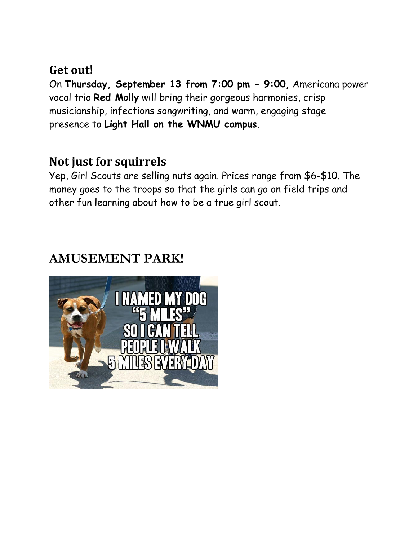#### **Get out!**

On **Thursday, September 13 from 7:00 pm - 9:00,** Americana power vocal trio **Red Molly** will bring their gorgeous harmonies, crisp musicianship, infections songwriting, and warm, engaging stage presence to **Light Hall on the WNMU campus**.

### **Not just for squirrels**

Yep, Girl Scouts are selling nuts again. Prices range from \$6-\$10. The money goes to the troops so that the girls can go on field trips and other fun learning about how to be a true girl scout.

## **AMUSEMENT PARK!**